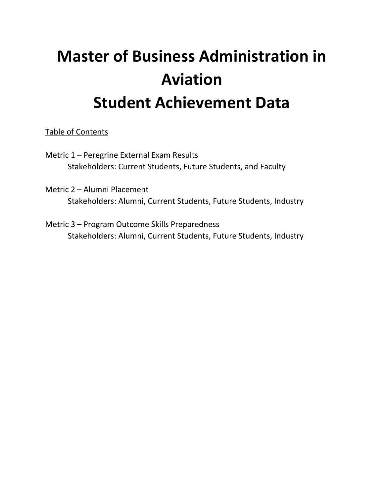# **Master of Business Administration in Aviation Student Achievement Data**

Table of Contents

Metric 1 – Peregrine External Exam Results Stakeholders: Current Students, Future Students, and Faculty

Metric 2 – Alumni Placement Stakeholders: Alumni, Current Students, Future Students, Industry

Metric 3 – Program Outcome Skills Preparedness Stakeholders: Alumni, Current Students, Future Students, Industry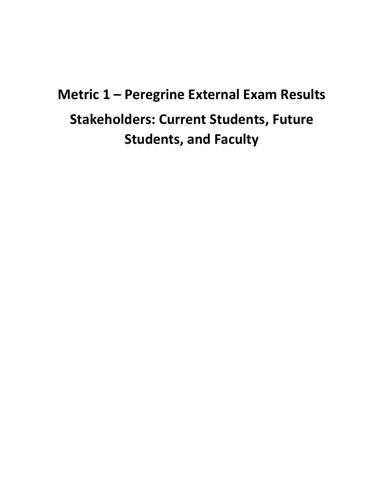# **Metric 1 – Peregrine External Exam Results Stakeholders: Current Students, Future Students, and Faculty**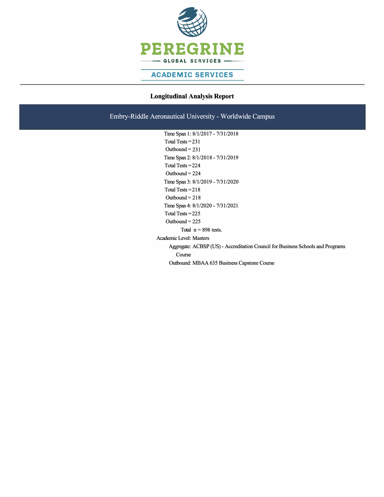

### **ACADEMIC SERVICES**

### **Longitudinal Analysis Report**

Embry-Riddle Aeronautical University - Worldwide Campus

Time Span l: 8/1/2017- 7/31/2018 Total Tests  $= 231$ Outbound  $= 231$ Time Span 2: 8/1/2018 - 7/31/2019 Total Tests <sup>=</sup>224 Outbound = 224 Time Span 3: 8/1/2019 - 7/31/2020 Total Tests <sup>=</sup> 218 Outbound  $= 218$ Time Span 4: 8/1/2020 - 7/31/2021 Total Tests <sup>=</sup>225 Outbound  $= 225$ Total  $n = 898$  tests. Academic Level: Masters Aggregate: ACBSP (US) - Accreditation Council for Business Schools and Programs Course Outbound: MBAA 635 Business Capstone Course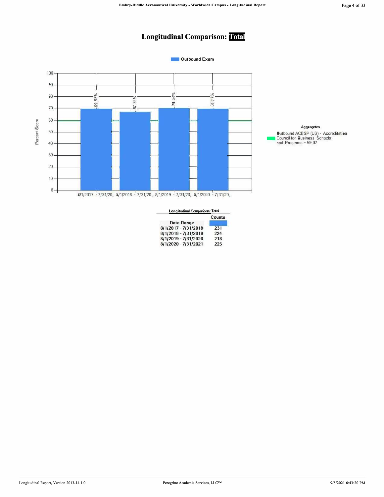### Page 4 of 33

## **Longitudinal Comparison:** Total



L,

| Longitudinal Companison: Total |               |  |  |  |  |  |  |
|--------------------------------|---------------|--|--|--|--|--|--|
|                                | <b>Counts</b> |  |  |  |  |  |  |
| <b>Date Range</b>              |               |  |  |  |  |  |  |
| 8/1/2017 - 7/31/2018           | 231           |  |  |  |  |  |  |
| 8/1/2018 - 7/31/2019           | 224           |  |  |  |  |  |  |
| 8/1/2019 - 7/31/2020           | 218           |  |  |  |  |  |  |
| 8/1/2020 - 7/31/2021           | 225           |  |  |  |  |  |  |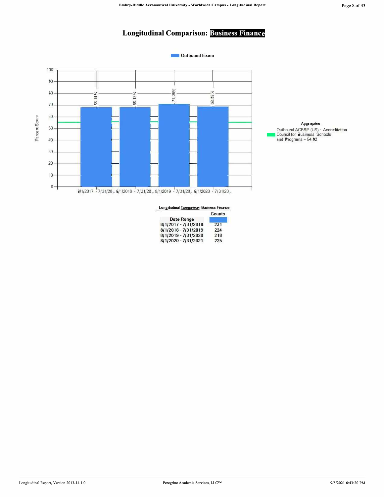## **Longitudinal Comparison: Business Finance**



| Longitudinal Comparison: Business Finance |        |  |  |  |  |
|-------------------------------------------|--------|--|--|--|--|
|                                           | Counts |  |  |  |  |
| <b>Date Range</b>                         |        |  |  |  |  |
| 8/1/2017 - 7/31/2018                      | 231    |  |  |  |  |
| 8/1/2018 - 7/31/2019                      | 224    |  |  |  |  |
| 8/1/2019 - 7/31/2020                      | 218    |  |  |  |  |
| 8/1/2020 - 7/31/2021                      | 225    |  |  |  |  |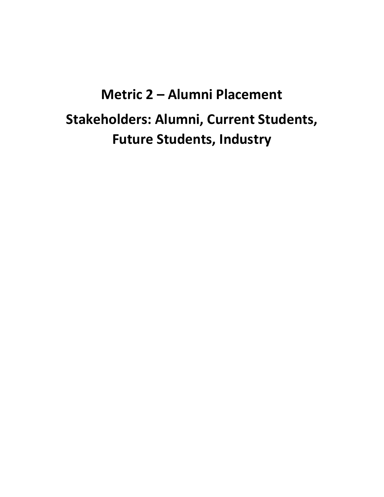# **Metric 2 – Alumni Placement Stakeholders: Alumni, Current Students, Future Students, Industry**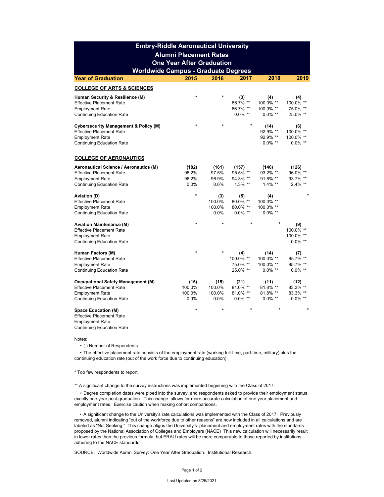|                                                                                                                                                   | <b>Embry-Riddle Aeronautical University</b> |                                    |                                             |                                              |                                             |
|---------------------------------------------------------------------------------------------------------------------------------------------------|---------------------------------------------|------------------------------------|---------------------------------------------|----------------------------------------------|---------------------------------------------|
|                                                                                                                                                   | <b>Alumni Placement Rates</b>               |                                    |                                             |                                              |                                             |
|                                                                                                                                                   | <b>One Year After Graduation</b>            |                                    |                                             |                                              |                                             |
| <b>Worldwide Campus - Graduate Degrees</b>                                                                                                        |                                             |                                    |                                             |                                              |                                             |
| <b>Year of Graduation</b>                                                                                                                         | 2015                                        | 2016                               | 2017                                        | 2018                                         | 2019                                        |
| <b>COLLEGE OF ARTS &amp; SCIENCES</b>                                                                                                             |                                             |                                    |                                             |                                              |                                             |
| Human Security & Resilience (M)<br><b>Effective Placement Rate</b><br><b>Employment Rate</b><br><b>Continuing Education Rate</b>                  | $\star$                                     | $\star$                            | (3)<br>66.7% **<br>66.7% **<br>$0.0\%$ **   | (4)<br>100.0% **<br>100.0% **<br>$0.0\%$ **  | (4)<br>100.0% **<br>75.0% **<br>25.0% **    |
| <b>Cybersecurity Management &amp; Policy (M)</b><br><b>Effective Placement Rate</b><br><b>Employment Rate</b><br><b>Continuing Education Rate</b> |                                             |                                    | $\star$                                     | (14)<br>92.9% **<br>92.9% **<br>$0.0\%$ **   | (6)<br>100.0% **<br>100.0% **<br>$0.0\%$ ** |
| <b>COLLEGE OF AERONAUTICS</b>                                                                                                                     |                                             |                                    |                                             |                                              |                                             |
| <b>Aeronautical Science / Aeronautics (M)</b><br><b>Effective Placement Rate</b><br><b>Employment Rate</b><br><b>Continuing Education Rate</b>    | (182)<br>96.2%<br>96.2%<br>0.0%             | (161)<br>97.5%<br>96.9%<br>0.6%    | (157)<br>95.5% **<br>94.3% **<br>$1.3\%$ ** | (146)<br>93.2% **<br>91.8% **<br>$1.4\%$ **  | (126)<br>96.0% **<br>93.7% **<br>$2.4\%$ ** |
| <b>Aviation (D)</b><br><b>Effective Placement Rate</b><br><b>Employment Rate</b><br><b>Continuing Education Rate</b>                              | *                                           | (3)<br>100.0%<br>100.0%<br>$0.0\%$ | (5)<br>80.0% **<br>80.0% **<br>$0.0\%$ **   | (4)<br>100.0% **<br>100.0% **<br>$0.0\%$ **  | $\star$                                     |
| <b>Aviation Maintenance (M)</b><br><b>Effective Placement Rate</b><br><b>Employment Rate</b><br><b>Continuing Education Rate</b>                  | ÷                                           | $\star$                            |                                             | $\star$                                      | (9)<br>100.0% **<br>100.0% **<br>$0.0\%$ ** |
| Human Factors (M)<br><b>Effective Placement Rate</b><br><b>Employment Rate</b><br><b>Continuing Education Rate</b>                                |                                             |                                    | (4)<br>100.0% **<br>75.0% **<br>25.0% **    | (14)<br>100.0% **<br>100.0% **<br>$0.0\%$ ** | (7)<br>85.7% **<br>85.7% **<br>$0.0\%$ **   |
| <b>Occupational Safety Management (M)</b><br><b>Effective Placement Rate</b><br><b>Employment Rate</b><br><b>Continuing Education Rate</b>        | (15)<br>100.0%<br>100.0%<br>0.0%            | (15)<br>100.0%<br>100.0%<br>0.0%   | (21)<br>81.0% **<br>81.0% **<br>$0.0\%$ **  | (11)<br>81.8% **<br>81.8% **<br>$0.0\%$ **   | (12)<br>83.3% **<br>83.3% **<br>$0.0\%$ **  |
| <b>Space Education (M)</b><br><b>Effective Placement Rate</b><br><b>Employment Rate</b><br><b>Continuing Education Rate</b>                       | $\star$                                     |                                    |                                             |                                              | *                                           |

Notes:

• ( ) Number of Respondents

• The effective placement rate consists of the employment rate (working full-time, part-time, military) plus the continuing education rate (out of the work force due to continuing education).

#### \* Too few respondents to report

\*\* A significant change to the survey instructions was implemented beginning with the Class of 2017:

 • Degree completion dates were piped into the survey, and respondents asked to provide their employment status exactly one year post-graduation. This change allows for more accurate calculation of one year placement and employment rates. Exercise caution when making cohort comparisons.

• A significant change to the University's rate calculations was implemented with the Class of 2017. Previously removed, alumni indicating "out of the workforce due to other reasons" are now included in all calculations and are labeled as "Not Seeking." This change aligns the University's placement and employment rates with the standards proposed by the National Association of Colleges and Employers (NACE) This new calculation will necessarily result in lower rates than the previous formula, but ERAU rates will be more comparable to those reported by institutions adhering to the NACE standards.

SOURCE: Worldwide Aumni Survey: One Year After Graduation. Institutional Research.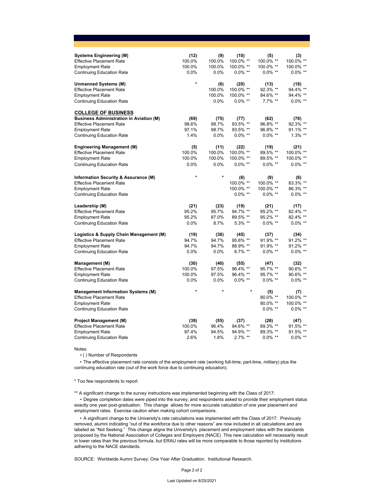| <b>Systems Engineering (M)</b>                 | (12)    | (9)     | (10)       | (5)        | (3)        |
|------------------------------------------------|---------|---------|------------|------------|------------|
| <b>Effective Placement Rate</b>                | 100.0%  | 100.0%  | 100.0% **  | 100.0% **  | 100.0% **  |
| <b>Employment Rate</b>                         | 100.0%  | 100.0%  | 100.0% **  | 100.0% **  | 100.0% **  |
| <b>Continuing Education Rate</b>               | 0.0%    | 0.0%    | $0.0\%$ ** | $0.0\%$ ** | $0.0\%$ ** |
| <b>Unmanned Systems (M)</b>                    | $\star$ | (6)     | (20)       | (13)       | (18)       |
| <b>Effective Placement Rate</b>                |         | 100.0%  | 100.0% **  | 92.3% **   | 94.4% **   |
| <b>Employment Rate</b>                         |         | 100.0%  | 100.0% **  | 84.6% **   | 94.4% **   |
| <b>Continuing Education Rate</b>               |         | $0.0\%$ | $0.0\%$ ** | 7.7% **    | $0.0\%$ ** |
| <b>COLLEGE OF BUSINESS</b>                     |         |         |            |            |            |
| <b>Business Administration in Aviation (M)</b> | (69)    | (75)    | (77)       | (62)       | (78)       |
| <b>Effective Placement Rate</b>                | 98.6%   | 98.7%   | 93.5% **   | 96.8% **   | 92.3% **   |
| <b>Employment Rate</b>                         | 97.1%   | 98.7%   | 93.5% **   | 96.8% **   | 91.1% **   |
| <b>Continuing Education Rate</b>               | 1.4%    | $0.0\%$ | $0.0\%$ ** | $0.0\%$ ** | $1.3\%$ ** |
| <b>Engineering Management (M)</b>              | (5)     | (11)    | (22)       | (19)       | (21)       |
| <b>Effective Placement Rate</b>                | 100.0%  | 100.0%  | 100.0% **  | 89.5% **   | 100.0% **  |
| <b>Employment Rate</b>                         | 100.0%  | 100.0%  | 100.0% **  | 89.5% **   | 100.0% **  |
| <b>Continuing Education Rate</b>               | 0.0%    | 0.0%    | $0.0\%$ ** | $0.0\%$ ** | $0.0\%$ ** |
| Information Security & Assurance (M)           | $\star$ | $\star$ | (6)        | (9)        | (6)        |
| <b>Effective Placement Rate</b>                |         |         | 100.0% **  | 100.0% **  | 83.3% **   |
| <b>Employment Rate</b>                         |         |         | 100.0% **  | 100.0% **  | 86.3% **   |
| <b>Continuing Education Rate</b>               |         |         | $0.0\%$ ** | $0.0\%$ ** | $0.0\%$ ** |
| Leadership (M)                                 | (21)    | (23)    | (19)       | (21)       | (17)       |
| <b>Effective Placement Rate</b>                | 95.2%   | 95.7%   | 94.7% **   | 95.2% **   | 82.4% **   |
| <b>Employment Rate</b>                         | 95.2%   | 87.0%   | 89.5% **   | 95.2% **   | 82.4% **   |
| <b>Continuing Education Rate</b>               | 0.0%    | 8.7%    | $5.3\%$ ** | $0.0\%$ ** | $0.0\%$ ** |
| Logistics & Supply Chain Management (M)        | (19)    | (38)    | (45)       | (37)       | (34)       |
| <b>Effective Placement Rate</b>                | 94.7%   | 94.7%   | 95.6% **   | 91.9% **   | 91.2% **   |
| <b>Employment Rate</b>                         | 94.7%   | 94.7%   | 88.9% **   | 91.9% **   | 91.2% **   |
| <b>Continuing Education Rate</b>               | 0.0%    | 0.0%    | $6.7\%$ ** | $0.0\%$ ** | $0.0\%$ ** |
| <b>Management (M)</b>                          | (30)    | (40)    | (55)       | (47)       | (32)       |
| <b>Effective Placement Rate</b>                | 100.0%  | 97.5%   | 96.4% **   | 95.7% **   | 90.6% **   |
| <b>Employment Rate</b>                         | 100.0%  | 97.5%   | 96.4% **   | 95.7% **   | 90.6% **   |
| <b>Continuing Education Rate</b>               | 0.0%    | 0.0%    | $0.0\%$ ** | $0.0\%$ ** | $0.0\%$ ** |
| <b>Management Information Systems (M)</b>      | $\star$ |         |            | (5)        | (7)        |
| <b>Effective Placement Rate</b>                |         |         |            | 80.0% **   | 100.0% **  |
| <b>Employment Rate</b>                         |         |         |            | 80.0% **   | 100.0% **  |
| <b>Continuing Education Rate</b>               |         |         |            | $0.0\%$ ** | $0.0\%$ ** |
| <b>Project Management (M)</b>                  | (39)    | (55)    | (37)       | (28)       | (47)       |
| <b>Effective Placement Rate</b>                | 100.0%  | 96.4%   | 94.6% **   | 89.3% **   | 91.5% **   |
| <b>Employment Rate</b>                         | 97.4%   | 94.5%   | 94.9% **   | 89.3% **   | 91.5% **   |
| <b>Continuing Education Rate</b>               | 2.6%    | 1.8%    | $2.7\%$ ** | $0.0\%$ ** | $0.0\%$ ** |

Notes:

• ( ) Number of Respondents

• The effective placement rate consists of the employment rate (working full-time, part-time, military) plus the continuing education rate (out of the work force due to continuing education).

#### \* Too few respondents to report

\*\* A significant change to the survey instructions was implemented beginning with the Class of 2017:

 • Degree completion dates were piped into the survey, and respondents asked to provide their employment status exactly one year post-graduation. This change allows for more accurate calculation of one year placement and employment rates. Exercise caution when making cohort comparisons.

• A significant change to the University's rate calculations was implemented with the Class of 2017. Previously removed, alumni indicating "out of the workforce due to other reasons" are now included in all calculations and are labeled as "Not Seeking." This change aligns the University's placement and employment rates with the standards proposed by the National Association of Colleges and Employers (NACE) This new calculation will necessarily result in lower rates than the previous formula, but ERAU rates will be more comparable to those reported by institutions adhering to the NACE standards.

SOURCE: Worldwide Aumni Survey: One Year After Graduation. Institutional Research.

Page 2 of 2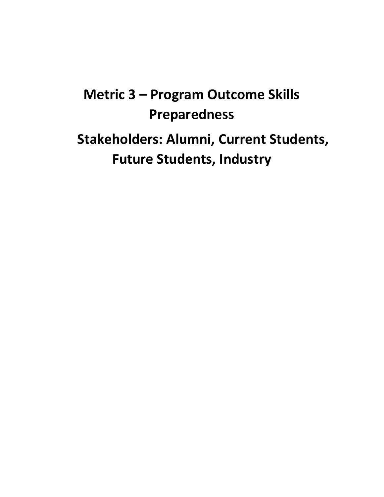# **Metric 3 – Program Outcome Skills Preparedness**

**Stakeholders: Alumni, Current Students, Future Students, Industry**